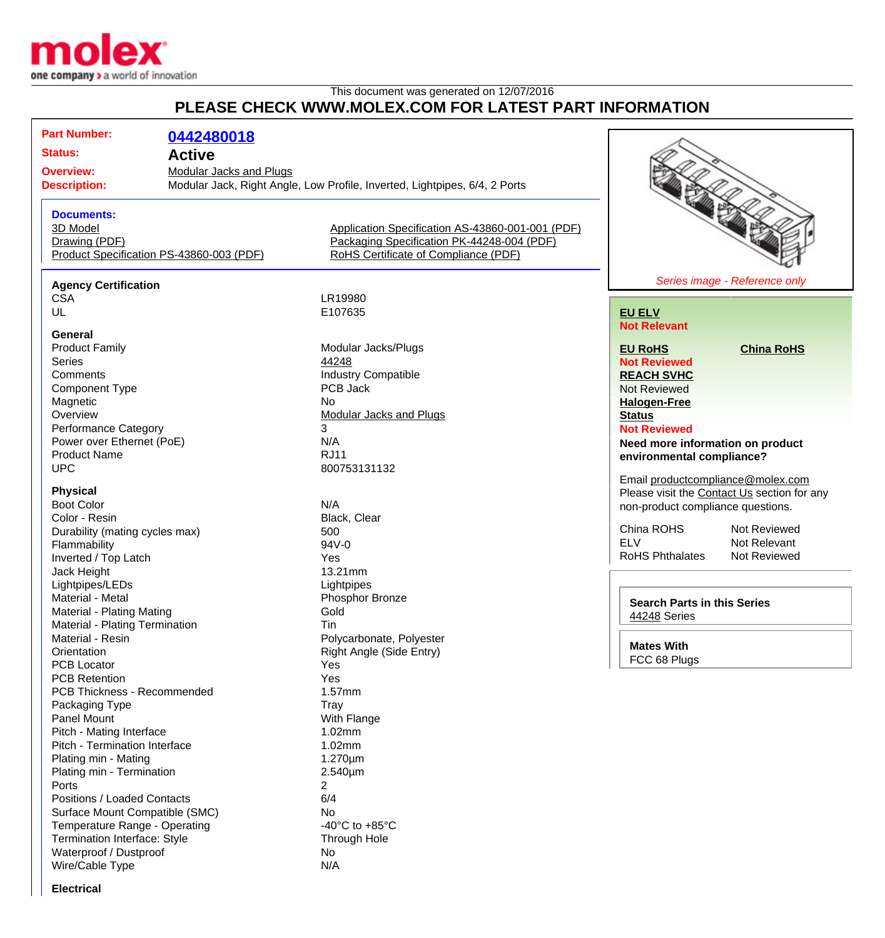

## This document was generated on 12/07/2016 **PLEASE CHECK WWW.MOLEX.COM FOR LATEST PART INFORMATION**

**Part Number: [0442480018](http://www.molex.com/molex/products/datasheet.jsp?part=active/0442480018_MODULAR_JACKS_PLUG.xml&channel=Products&Lang=en-US) Status: Active Overview:** [Modular Jacks and Plugs](http://www.molex.com/molex/products/group?channel=products&key=modular_plugs_jacks) **Description:** Modular Jack, Right Angle, Low Profile, Inverted, Lightpipes, 6/4, 2 Ports **Documents:** [3D Model](http://www.molex.com/molex/part/partModels.jsp?&prodLevel=part&series=&partNo=442480018&channel=Products) [Application Specification AS-43860-001-001 \(PDF\)](http://www.molex.com/pdm_docs/as/AS-43860-001-001.pdf) [Drawing \(PDF\)](http://www.molex.com/pdm_docs/sd/442480018_sd.pdf) [Packaging Specification PK-44248-004 \(PDF\)](http://www.molex.com/pdm_docs/pk/PK-44248-004.pdf) [Product Specification PS-43860-003 \(PDF\)](http://www.molex.com/pdm_docs/ps/PS-43860-003.pdf) [RoHS Certificate of Compliance \(PDF\)](http://www.molex.com/datasheets/rohspdf/0442480018_rohs.pdf) **Agency Certification** CSA LR19980<br>UL E107635 E107635 **General**<br>**Product Family** Product Family **Modular Jacks/Plugs**<br>
Series 44248 Series **According to According the Series [44248](http://www.molex.com/molex/products/listview.jsp?query=44248&sType=s)** Comments<br>
Component Type<br>
Component Type<br>
COMPOS Jack<br>
PCB Jack Component Type Magnetic No.<br>
Overview Mo [Modular Jacks and Plugs](http://www.molex.com/molex/products/group?channel=products&key=modular_plugs_jacks) Performance Category 3 Power over Ethernet (PoE) N/A Product Name RJ11 UPC 800753131132 **Physical** Boot Color Note that the Second Second Second Second Second Second Second Second Second Second Second Second Second Second Second Second Second Second Second Second Second Second Second Second Second Second Second Second S Color - Resin Durability (mating cycles max) 500 Flammability 94V-0 Inverted / Top Latch Yes Jack Height 13.21mm Lightpipes/LEDs Lightpipes Material - Metal **Material - Metal** Phosphor Bronze Material - Plating Mating **Gold** Material - Plating Termination Tin Material - Resin **Polycarbonate, Polyester** Polycarbonate, Polyester Orientation **Right Angle (Side Entry)** PCB Locator **Yes** PCB Retention Yes PCB Thickness - Recommended 1.57mm Packaging Type Tray Tray<br>
Panel Mount Tray Nuth Flange Panel Mount Pitch - Mating Interface 1.02mm Pitch - Termination Interface 1.02mm Plating min - Mating 1.270um Plating min - Termination 2.540um Ports 2 Positions / Loaded Contacts 6/4 Surface Mount Compatible (SMC) No Temperature Range - Operating  $-40^{\circ}$ C to +85°C Termination Interface: Style Through Hole Waterproof / Dustproof No



## **[EU ELV](http://www.molex.com/molex/common/staticLoader.jsp?fileName=/webcontent/literature/EU_RoHS.html#eurohs) Not Relevant**

**[EU RoHS](http://www.molex.com/molex/common/staticLoader.jsp?fileName=/cmc_upload/0/000/-12/201/EU_RoHS.html#eurohs) [China RoHS](http://www.molex.com/molex/common/staticLoader.jsp?fileName=/cmc_upload/0/000/-12/201/china_RoHS.html#china)**

**Not Reviewed [REACH SVHC](http://www.molex.com/molex/common/staticLoader.jsp?fileName=/webcontent/contact/reach.html)** Not Reviewed **[Halogen-Free](http://www.molex.com/molex/common/staticLoader.jsp?fileName=/webcontent/contact/halogen_free.html) [Status](http://www.molex.com/molex/common/staticLoader.jsp?fileName=/webcontent/contact/halogen_free.html)**

**Not Reviewed**

**Need more information on product environmental compliance?**

Email [productcompliance@molex.com](mailto:productcompliance@molex.com) Please visit the [Contact Us](http://www.molex.com/molex/contact/mxcontact.jsp?channel=Contact Us&channelId=-7) section for any non-product compliance questions.

China ROHS Not Reviewed<br>FLV Not Relevant RoHS Phthalates

Not Relevant<br>Not Reviewed

**Search Parts in this Series** [44248](http://www.molex.com/molex/products/listview.jsp?query=44248&sType=s) Series

**Mates With** FCC 68 Plugs

**Electrical**

Wire/Cable Type N/A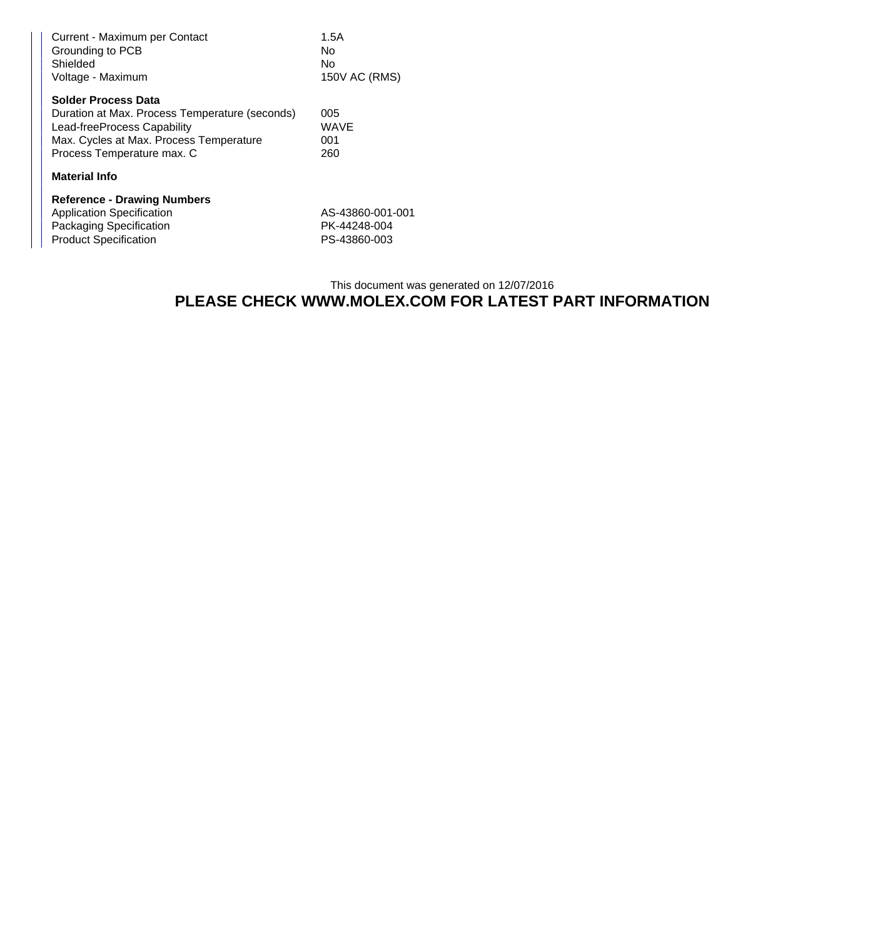| Current - Maximum per Contact<br>Grounding to PCB<br>Shielded<br>Voltage - Maximum | 1.5A<br>No.<br>No<br>150V AC (RMS) |
|------------------------------------------------------------------------------------|------------------------------------|
| <b>Solder Process Data</b>                                                         |                                    |
| Duration at Max. Process Temperature (seconds)                                     | 005                                |
| Lead-freeProcess Capability                                                        | <b>WAVE</b>                        |
| Max. Cycles at Max. Process Temperature                                            | 001                                |
| Process Temperature max. C                                                         | 260                                |
| <b>Material Info</b>                                                               |                                    |
| <b>Reference - Drawing Numbers</b>                                                 |                                    |
| <b>Application Specification</b>                                                   | AS-43860-001-001                   |
| Packaging Specification                                                            | PK-44248-004                       |
| <b>Product Specification</b>                                                       | PS-43860-003                       |

## This document was generated on 12/07/2016 **PLEASE CHECK WWW.MOLEX.COM FOR LATEST PART INFORMATION**